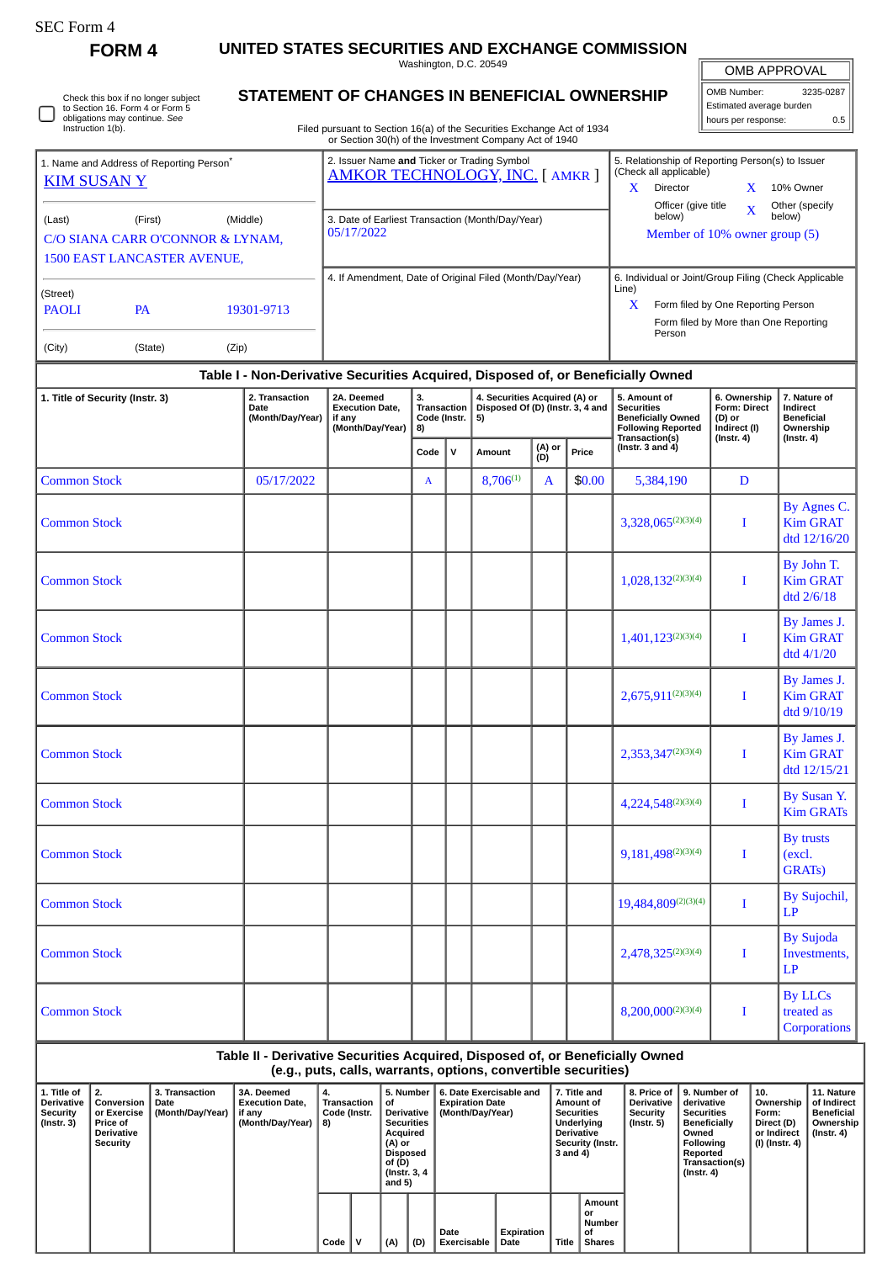| SEC Form- |
|-----------|
|-----------|

Instruction 1(b).

Check this box if no longer subject to Section 16. Form 4 or Form 5 obligations may continue. *See*

**FORM 4 UNITED STATES SECURITIES AND EXCHANGE COMMISSION**

Washington, D.C. 20549 **STATEMENT OF CHANGES IN BENEFICIAL OWNERSHIP**

| OMB APPROVAL |
|--------------|
|              |

 $\mathbb{I}$ 

| OMB Number:              | 3235-0287 |  |  |  |  |  |  |  |  |
|--------------------------|-----------|--|--|--|--|--|--|--|--|
| Estimated average burden |           |  |  |  |  |  |  |  |  |
| hours per response:      | 0.5       |  |  |  |  |  |  |  |  |

Filed pursuant to Section 16(a) of the Securities Exchange Act of 1934 or Section 30(h) of the Investment Company Act of 1940

|                                                                                  | 1. Name and Address of Reporting Person <sup>®</sup> |                                  | 2. Issuer Name and Ticker or Trading Symbol<br><b>AMKOR TECHNOLOGY, INC. [ AMKR ]</b> |                                                                | 5. Relationship of Reporting Person(s) to Issuer<br>(Check all applicable)              |                                    |                                                 |                               |                         |                                   |  |
|----------------------------------------------------------------------------------|------------------------------------------------------|----------------------------------|---------------------------------------------------------------------------------------|----------------------------------------------------------------|-----------------------------------------------------------------------------------------|------------------------------------|-------------------------------------------------|-------------------------------|-------------------------|-----------------------------------|--|
| <b>KIM SUSAN Y</b>                                                               |                                                      |                                  |                                                                                       |                                                                |                                                                                         |                                    |                                                 |                               |                         | 10% Owner                         |  |
| (Last)<br>(Middle)<br>(First)                                                    |                                                      |                                  | 3. Date of Earliest Transaction (Month/Day/Year)                                      |                                                                |                                                                                         |                                    | Officer (give title<br>below)                   |                               | $\overline{\mathbf{X}}$ | Other (specify<br>below)          |  |
|                                                                                  |                                                      | C/O SIANA CARR O'CONNOR & LYNAM, | 05/17/2022                                                                            |                                                                |                                                                                         |                                    | Member of 10% owner group (5)                   |                               |                         |                                   |  |
|                                                                                  | <b>1500 EAST LANCASTER AVENUE,</b>                   |                                  |                                                                                       |                                                                |                                                                                         |                                    |                                                 |                               |                         |                                   |  |
|                                                                                  |                                                      |                                  | 4. If Amendment, Date of Original Filed (Month/Day/Year)                              | 6. Individual or Joint/Group Filing (Check Applicable<br>Line) |                                                                                         |                                    |                                                 |                               |                         |                                   |  |
| (Street)<br><b>PAOLI</b>                                                         | <b>PA</b>                                            | 19301-9713                       |                                                                                       |                                                                | X                                                                                       | Form filed by One Reporting Person |                                                 |                               |                         |                                   |  |
|                                                                                  |                                                      |                                  |                                                                                       |                                                                |                                                                                         |                                    | Form filed by More than One Reporting<br>Person |                               |                         |                                   |  |
| (City)                                                                           | (State)                                              | (Zip)                            |                                                                                       |                                                                |                                                                                         |                                    |                                                 |                               |                         |                                   |  |
| Table I - Non-Derivative Securities Acquired, Disposed of, or Beneficially Owned |                                                      |                                  |                                                                                       |                                                                |                                                                                         |                                    |                                                 |                               |                         |                                   |  |
| 1. Title of Security (Instr. 3)                                                  |                                                      | 2. Transaction<br>Data.          | 2A. Deemed<br>Fuseration Bots                                                         | 3.                                                             | 4. Securities Acquired (A) or<br>Transaction Disposed Of (D) (Instr. 2. 4 and Decembias |                                    | 5. Amount of                                    | 6. Ownership<br>Found Buset I |                         | 7. Nature of<br><b>Lasting at</b> |  |

## **Date (Month/Day/Year) Execution Date, if any (Month/Day/Year) Transaction Code (Instr. 8) 4. Securities Acquired (A) or Disposed Of (D) (Instr. 3, 4 and 5) Securities Beneficially Owned Following Reported Transaction(s) (Instr. 3 and 4) Form: Direct (D) or Indirect (I) (Instr. 4) 7. Nature of Indirect Beneficial Ownership (Instr. 4) Code <sup>V</sup> Amount (A) or (D) Price** Common Stock **Common Stock and COLO** 8,706<sup>(1)</sup> A 8,706<sup>(1)</sup> A 8,706<sup>(1)</sup> B 3,384,190 D Common Stock 3,328,065(2)(3)(4) I By Agnes C. Kim GRAT dtd 12/16/20 **Common Stock** 1,028,132<sup>(2)(3)(4)</sup> I By John T. Kim GRAT dtd 2/6/18 Common Stock **1,401,123**<sup>(2)(3)(4)</sup> I By James J. Kim GRAT dtd 4/1/20 Common Stock  $2,675,911^{(2)(3)(4)}$  I By James J. Kim GRAT dtd 9/10/19 **Common Stock** 2,353,347<sup>(2)(3)(4)</sup> I By James J. Kim GRAT dtd 12/15/21 Common Stock 4,224,548(2)(3)(4) I By Susan Y. Kim GRATs **Common Stock 19,181,498**(2)(3)(4) I By trusts (excl. GRATs) Common Stock 19,484,809<sup>(2)(3)(4)</sup> I By Sujochil, LP **Common Stock 2,478,325**<sup>(2)(3)(4)</sup> I By Sujoda Investments, LP Common Stock 8,200,000(2)(3)(4) I By LLCs treated as **Corporations**

**Table II - Derivative Securities Acquired, Disposed of, or Beneficially Owned**

**(e.g., puts, calls, warrants, options, convertible securities)**

| 1. Title of<br><b>Derivative</b><br>Security<br>(Instr. 3) | Conversion<br>or Exercise<br>Price of<br><b>Derivative</b><br>Security | 3. Transaction<br>Date<br>(Month/Day/Year) | 3A. Deemed<br><b>Execution Date.</b><br>if any<br>(Month/Day/Year) | 4.<br>Transaction<br>Code (Instr.<br>8) |  | οf<br>Derivative  <br><b>Securities</b><br>Acquired<br>(A) or<br><b>Disposed</b><br>of (D)<br>(Instr. 3, 4)<br>and $5)$ |     | 5. Number   6. Date Exercisable and<br><b>Expiration Date</b><br>(Month/Day/Year) |                    | 7. Title and<br>Amount of<br><b>Securities</b><br>Underlving<br><b>Derivative</b><br>Security (Instr.<br>$3$ and $4)$ |                                               | <b>Derivative</b><br><b>Security</b><br>(Instr. 5) | 8. Price of 19. Number of<br>derivative<br><b>Securities</b><br><b>Beneficially</b><br>Owned<br>Following<br>Reported<br>Transaction(s)<br>(Instr. 4) | $^{\circ}$ 10.<br>Ownership<br>Form:<br>Direct (D)<br>or Indirect<br>(I) (Instr. 4) | 11. Nature<br>of Indirect<br><b>Beneficial</b><br>Ownership<br>(Instr. 4) |
|------------------------------------------------------------|------------------------------------------------------------------------|--------------------------------------------|--------------------------------------------------------------------|-----------------------------------------|--|-------------------------------------------------------------------------------------------------------------------------|-----|-----------------------------------------------------------------------------------|--------------------|-----------------------------------------------------------------------------------------------------------------------|-----------------------------------------------|----------------------------------------------------|-------------------------------------------------------------------------------------------------------------------------------------------------------|-------------------------------------------------------------------------------------|---------------------------------------------------------------------------|
|                                                            |                                                                        |                                            |                                                                    | Code                                    |  | (A)                                                                                                                     | (D) | Date<br>Exercisable                                                               | Expiration<br>Date | Title                                                                                                                 | Amount<br>or<br>Number<br>οf<br><b>Shares</b> |                                                    |                                                                                                                                                       |                                                                                     |                                                                           |